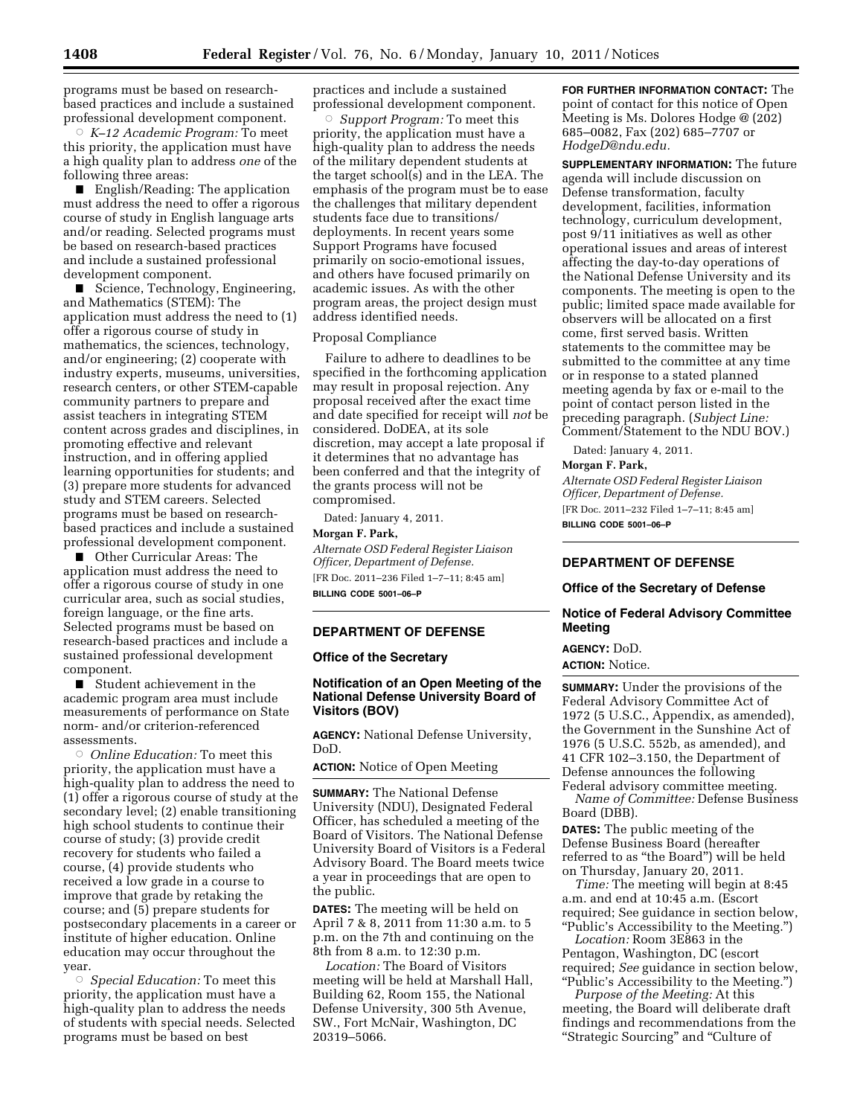programs must be based on researchbased practices and include a sustained professional development component.

Æ *K–12 Academic Program:* To meet this priority, the application must have a high quality plan to address *one* of the following three areas:

 $\blacksquare$  English/Reading: The application must address the need to offer a rigorous course of study in English language arts and/or reading. Selected programs must be based on research-based practices and include a sustained professional development component.

■ Science, Technology, Engineering, and Mathematics (STEM): The application must address the need to (1) offer a rigorous course of study in mathematics, the sciences, technology, and/or engineering; (2) cooperate with industry experts, museums, universities, research centers, or other STEM-capable community partners to prepare and assist teachers in integrating STEM content across grades and disciplines, in promoting effective and relevant instruction, and in offering applied learning opportunities for students; and (3) prepare more students for advanced study and STEM careers. Selected programs must be based on researchbased practices and include a sustained professional development component.

**Other Curricular Areas: The** application must address the need to offer a rigorous course of study in one curricular area, such as social studies, foreign language, or the fine arts. Selected programs must be based on research-based practices and include a sustained professional development component.

 $\blacksquare$  Student achievement in the academic program area must include measurements of performance on State norm- and/or criterion-referenced assessments.

Æ *Online Education:* To meet this priority, the application must have a high-quality plan to address the need to (1) offer a rigorous course of study at the secondary level; (2) enable transitioning high school students to continue their course of study; (3) provide credit recovery for students who failed a course, (4) provide students who received a low grade in a course to improve that grade by retaking the course; and (5) prepare students for postsecondary placements in a career or institute of higher education. Online education may occur throughout the year.

Æ *Special Education:* To meet this priority, the application must have a high-quality plan to address the needs of students with special needs. Selected programs must be based on best

practices and include a sustained professional development component.

Æ *Support Program:* To meet this priority, the application must have a high-quality plan to address the needs of the military dependent students at the target school(s) and in the LEA. The emphasis of the program must be to ease the challenges that military dependent students face due to transitions/ deployments. In recent years some Support Programs have focused primarily on socio-emotional issues, and others have focused primarily on academic issues. As with the other program areas, the project design must address identified needs.

### Proposal Compliance

Failure to adhere to deadlines to be specified in the forthcoming application may result in proposal rejection. Any proposal received after the exact time and date specified for receipt will *not* be considered. DoDEA, at its sole discretion, may accept a late proposal if it determines that no advantage has been conferred and that the integrity of the grants process will not be compromised.

Dated: January 4, 2011.

### **Morgan F. Park,**

*Alternate OSD Federal Register Liaison Officer, Department of Defense.*  [FR Doc. 2011–236 Filed 1–7–11; 8:45 am]

**BILLING CODE 5001–06–P** 

#### **DEPARTMENT OF DEFENSE**

### **Office of the Secretary**

### **Notification of an Open Meeting of the National Defense University Board of Visitors (BOV)**

**AGENCY:** National Defense University, DoD.

**ACTION:** Notice of Open Meeting

**SUMMARY:** The National Defense University (NDU), Designated Federal Officer, has scheduled a meeting of the Board of Visitors. The National Defense University Board of Visitors is a Federal Advisory Board. The Board meets twice a year in proceedings that are open to the public.

**DATES:** The meeting will be held on April 7 & 8, 2011 from 11:30 a.m. to 5 p.m. on the 7th and continuing on the 8th from 8 a.m. to 12:30 p.m.

*Location:* The Board of Visitors meeting will be held at Marshall Hall, Building 62, Room 155, the National Defense University, 300 5th Avenue, SW., Fort McNair, Washington, DC 20319–5066.

**FOR FURTHER INFORMATION CONTACT:** The point of contact for this notice of Open Meeting is Ms. Dolores Hodge @ (202) 685–0082, Fax (202) 685–7707 or *[HodgeD@ndu.edu.](mailto:HodgeD@ndu.edu)* 

**SUPPLEMENTARY INFORMATION:** The future agenda will include discussion on Defense transformation, faculty development, facilities, information technology, curriculum development, post 9/11 initiatives as well as other operational issues and areas of interest affecting the day-to-day operations of the National Defense University and its components. The meeting is open to the public; limited space made available for observers will be allocated on a first come, first served basis. Written statements to the committee may be submitted to the committee at any time or in response to a stated planned meeting agenda by fax or e-mail to the point of contact person listed in the preceding paragraph. (*Subject Line:*  Comment/Statement to the NDU BOV.)

Dated: January 4, 2011.

#### **Morgan F. Park,**

*Alternate OSD Federal Register Liaison Officer, Department of Defense.*  [FR Doc. 2011–232 Filed 1–7–11; 8:45 am] **BILLING CODE 5001–06–P** 

# **DEPARTMENT OF DEFENSE**

### **Office of the Secretary of Defense**

# **Notice of Federal Advisory Committee Meeting**

# **AGENCY:** DoD.

# **ACTION:** Notice.

**SUMMARY:** Under the provisions of the Federal Advisory Committee Act of 1972 (5 U.S.C., Appendix, as amended), the Government in the Sunshine Act of 1976 (5 U.S.C. 552b, as amended), and 41 CFR 102–3.150, the Department of Defense announces the following Federal advisory committee meeting.

*Name of Committee:* Defense Business Board (DBB).

**DATES:** The public meeting of the Defense Business Board (hereafter referred to as ''the Board'') will be held on Thursday, January 20, 2011.

*Time:* The meeting will begin at 8:45 a.m. and end at 10:45 a.m. (Escort required; See guidance in section below, ''Public's Accessibility to the Meeting.'')

*Location:* Room 3E863 in the Pentagon, Washington, DC (escort required; *See* guidance in section below, ''Public's Accessibility to the Meeting.'')

*Purpose of the Meeting:* At this meeting, the Board will deliberate draft findings and recommendations from the ''Strategic Sourcing'' and ''Culture of